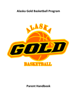# **Alaska Gold Basketball Program**



**Parent Handbook**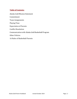## **Table of Contents:**

Alaska Gold Mission Statement Commitment Team Assignments Playing Time Expectation of Parents Conflict Resolution Communicationwith Alaska Gold Basketball Program Other Policies 16 Rules of Basketball Parents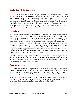### **Alaska Gold Mission Statement:**

The AK Gold Basketball Program has a purpose to develop and strengthen a player's game through challenging training sessions, competitive leagues and position-focused camps while participating in various tournaments and training facilities across the United States. Members of the program are goal oriented and focused on preparing to take their current game to the next level. Our program centers on creating the complete athlete – where they perform both on the court and in the classroom. Participation in the Alaska Gold Basketball Program will yield the perfect "student athlete" capable of securing a post high-school academic and/or athletic scholarship

#### **Commitment**

It is expected that an athlete will commit to the Alaska Gold Basketball program before the months leading up to, during and after the league, tournament or camp being attended. Alaska Gold athletes will need to make a commitment that extends over several months during the calendar year. Once formally accepted into our programs, Alaska Gold athletes are required to continue to improve their skills throughout their scholastic and AAU season. Athletes are expected to continue an intense regimented program focusing on strength, power, core, speed, cardiovascular, and other basketball skills through extensive training and drills. This ensures our athletes will be prepared to compete at a competitive level at any point throughout the basketball season. Finally, athletes will need to make a commitment to become better players and citizens, through new experiences, different cultures, training methods, and friendships.

Alaska Gold is also making a commitment to our participants by participating in multiple competitive basketball events locally and through travel experiences led by our skilled coaches, professional trainers and staff with the goal of challenging our athletes while providing a fun and educational experience.

#### **Team Assignments**

The Alaska Gold coaches will assign athletes to teams prior to the league or tournament we are participating in. We do our best to ensure the athlete talent is distributed equally across the teams, though on some occasions we may slightly alter our rosters after initially picking rosters to provide the most competitive experience for all athletes.

While we try to accommodate each athlete's preferred position, some athletes may be asked to play a different position during the course of a particular league or tournament. Athletes must be prepared to play wherever needed as the coaches see fit.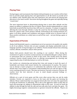## **Playing Time**

During leagues and tournaments that Alaska Gold participates in our coaches will do their best to provide ample playing time and opportunities to all. We desire to provide all of our athletes with valuable game time and experience, but will entrust the playing time allocation to the head coaches' discretion during throughout the game and especially during "crunch time".

The most important factor in determining playing time is most often attitude and the impact an athlete is making to the flow of a game. Players decide independently on a daily basis both on and off of the court how they will react to a situation. If a player is negatively affecting the team through attitude or play the coach has the discretion of substituting them for a player with a more positive attitude. Performing in the waning moments of a game is all about attitude and confidence and players should strive to present both of those positive attributes on a daily basis on and off the court – not just during a game or practice.

#### **Expectation of Parents**

Alaska Gold Basketball expects a commitment out of our parents to be quality role models to all of our athletes. Parents who set poor examples and display undesirable traits or language send the wrong messages to our athletes. Parents should refrain from criticizing coaches, officials, teammates, and/or other parents.

Alaska Gold parents should leave the coaching to our coaches! Often during the excitement of a game or practice session parents can unintentionally give a player advice or instructions that are contrary to those of the coach. This usually leaves the player confused. Parents should instead focus on offering encouragement by cheering and supporting the play of individual players as well as the team.

Our coaches are volunteering and giving their time and energy to teach the sport of basketball, and Alaska Gold cannot tolerate the condemnation of coaches. The easiest way to disrupt a team's progress is to undermine the authority of the coach. Parents should enter every league or tournament understanding that you will not agree or like every coaching decision or tactic. This does not however warrant or deserve criticism. All coaches have the best interests of your in mind despite personal feelings or observations.

Officials are a part of every game and like every other person they can and do make mistakes. Parents are expected to focus on the team and the game not berating the officials. Please understand that our program historically does not enjoy the opportunity of being the beneficiary of officiating. This is due to the aggressive nature of play that we teach and encourage our athletes to demonstrate while on the court. As such we teach the athletes to play through the both the calls and non-calls, play hard, and play the game. We highly discourage negative communication or gestures towards the officials. Players are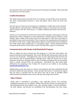the extension of the coach and the parents and will respond accordingly. Please keep that in mind as you sit in the stands.

### **Conflict Resolution**

The Alaska Gold coaches and staff strive for excellence on and off the court and believe that open communication between a coach and player solves nearly all issues and concerns.

Over the years we have never encountered a complaint or conflict that wasn't resolved through effective communication. With that said if a player or parent has an issue they wish to discuss with the coach there is a conflict resolution procedure that must be followed.

Parents are not permitted to confront the coaches before during or after games to discuss playing time, tactics, individual, or team performance. Should a parent confront a coach during a game, Alaska Gold coaches have been instructed to walk away and refuse to participate in any controversial matter. This is a policy of our organization and should not be reflective of the coach. Ample opportunity to discuss a matter positively is available in the weeks and/or days leading up to or preceding a game. Parents should positively communicate the desire to meet with a coach a few days after a game or tournament.

#### **Communicationwith Alaska Gold Basketball Program**

After an athlete has been accepted into the program it is vital that both athlete and parents check their email frequently. This is how AK Gold will communicate with you and we do it very frequently. Throughout the years we have determined that the best and most effective way of communicating is through email. Often the fastest way to have questions answered is through email as time is allotted throughout the day to quickly reply to emails received from our participants. Individuals may find staffs email information by navigating to the "Contact Us" section on our website or by emailing akgoldbasketball@gmail.com.

Additionally you may also choose to contact us by telephone (for those individuals that do not like to utilize the email system). If you call after and receive a voicemail we request that you leave a voicemail and we will return your call as soon as possible. Please understand that during the season return calls may take longer than normal.

#### **Other Policies**

Alaska Gold is committed to providing a safe, enjoyable, diverse, and enriching basketball experience for our athletes. Alaska Gold will not tolerate nor participate in discrimination based upon religion, race, color, national origin, or sexual orientation. All staff, athletes, and parents are prohibited from discrimination and from using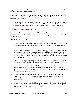language or terms deemed to be discriminatory or other actions regarded to be hurtful resulting from discriminatory feelings.

Any coaches, athletes, or parents found to be in violation of the discrimination policy may be suspended or banned from any or all Alaska Gold activities or events with no refund or compensation.

If you see any behavior from a coach or staff member you deem to be inappropriate, report it immediately to the Alaska Gold Director. All complaints will be investigated in a timely manner and Alaska Gold will work diligently to resolve any related issues.

## **16 Rules for Basketball Parents:**

Parents should read and observe the 16 rules for basketball parents created by performance coach Alan Stein as a way to measure their participation in their child's athletic endeavors.

#### **16 Rules for Basketball Parents**:

- 1. Parents… you must embrace the fact that this is your child's journey not *yours*. Do not live vicariously through them. Put your focus on being a supportive and encouraging *parent.*
- 2. Parents… it's true. Coaches do play favorites. They favor players who give the team the best chance to win, who have great attitudes, who work hard *every* day, who embrace their role (regardless of what that role is) and who support the program's culture. If you think a coach doesn't 'like' your child; your child is more than likely deficient in one (or more) of these areas.
- 3. Parents… as far as playing time goes, coaches want to win. They want to win *badly*. If your child will help them win… they will play. If not… they won't. Period.
- 4. Parents… more often than not, your child's coach is in a better position to evaluate and determine appropriate playing time because they see *everything.* They see workouts, practices, meetings, film breakdown and games (whereas most parents get an incomplete picture because they only see games).
- 5. Parents… more often than not, through both experience and professional development, coaches usually have a better basketball IQ and general understanding of the game then parents do (so questioning a coach's X's  $\&$  O's or their ability to judge talent is inappropriate).
- 6. Parents… stop coaching your child from the sideline. The only 'voice' a player should receive instructions from is the 'voice' of their coaching staff. Cheer for them all you want, but do not *coach* them. That isn't your job.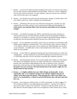- 7. Parents… you love your child more than anything in the world. You always want what is best for *them* (which is understandable and respectable). However, a coach's obligation is to do what is best for the *team*. In many instances, what you *want for your child* and *what is best of the team* is not congruent.
- 8. Parents… you should *never* push to discuss playing time, strategy or another player with your child's coach. *Ever*. Those 3 domains are sacred ground.
- 9. Parents… politicking will *never* get your child more playing time. I promise you, this statement has *never* been said by a coach in the history of high school basketball, **"I really need to start playing Jeffrey more because his mom thinks he isn't playing enough."**
- 10. Parents… you should encourage your child to communicate any issues, questions or concerns they have (or you have) directly with their coach by having them schedule a meeting. It is my belief, as a parent, you have the right to attend that meeting, simply as an observant, but the discussion should be between your child and the coach.
- 11. Parents… do not undermine your child's coach in the car ride home or at the dinner table. Subtle, passive aggressive comments like 'Your coach doesn't know what he's doing' or 'I can't believe you don't play more' do not comfort your child (although I am sure that is your intention) – it enables them to have a bad attitude and to make excuses… both of which are unacceptable.
- 12. Parents… if your child isn't getting the playing time they feel they deserve or if they lose a tough game… use that experience as a powerful teaching tool. Teach them how to own it. Teach them what they can do in the future to possibly get a different outcome.
- 13. Parents… stop berating the referees. It sets a bad example and it makes you look foolish. The referees are doing their best they can. More often than not, a referee has a better position and a much better understanding of the rules to make the correct call then a parent does. And I promise you this statement has never been said either, **"Can we stop the game? I'm sorry everyone. The loud-mouth mom in the stands is right, her son did get fouled on that last play."**
- 14. **Parents… it is highly unlikely that your child will play professionally. In fact, statistically, only a very small percentage of you will have children that play in college. So let them enjoy the journey. Their playing days will be over before you know it. Use basketball as a vehicle to teach the life lessons they will need when they grow up.**
- 15. Parents… don't push your child too hard. It's OK to encourage. It's OK to suggest. It's OK to hold your child to a very high standard of excellence… but don't *force* them to 'get up extra shots' or get in extra workouts. That has to come from *them*, not *you*. If they choose to do those things on their own, be supportive. If they choose not to, if they